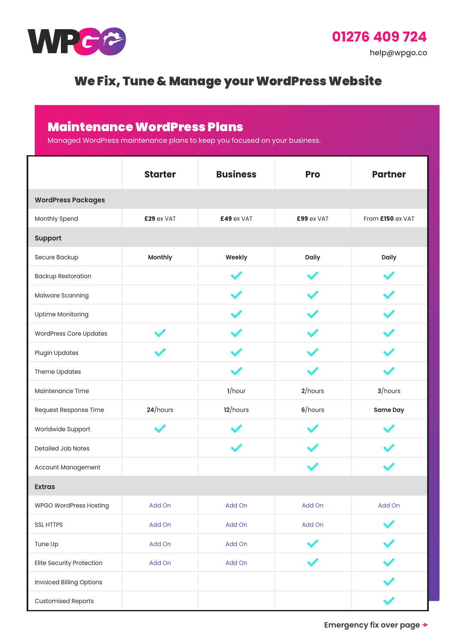

## We Fix, Tune & Manage your WordPress Website

## Maintenance WordPress Plans

Managed WordPress maintenance plans to keep you focused on your business.

|                                  | <b>Starter</b> | <b>Business</b> | <b>Pro</b> | <b>Partner</b>   |
|----------------------------------|----------------|-----------------|------------|------------------|
| <b>WordPress Packages</b>        |                |                 |            |                  |
| Monthly Spend                    | £29 ex VAT     | £49 ex VAT      | £99 ex VAT | From £150 ex VAT |
| <b>Support</b>                   |                |                 |            |                  |
| Secure Backup                    | Monthly        | Weekly          | Daily      | Daily            |
| <b>Backup Restoration</b>        |                |                 |            |                  |
| Malware Scanning                 |                |                 |            |                  |
| <b>Uptime Monitoring</b>         |                |                 |            |                  |
| <b>WordPress Core Updates</b>    |                |                 |            |                  |
| <b>Plugin Updates</b>            |                |                 |            |                  |
| Theme Updates                    |                |                 |            |                  |
| Maintenance Time                 |                | 1/hour          | 2/hours    | 3/hours          |
| Request Response Time            | 24/hours       | 12/hours        | 6/hours    | Same Day         |
| Worldwide Support                |                |                 |            |                  |
| Detailed Job Notes               |                |                 |            |                  |
| Account Management               |                |                 |            |                  |
| <b>Extras</b>                    |                |                 |            |                  |
| WPGO WordPress Hosting           | Add On         | Add On          | Add On     | Add On           |
| <b>SSL HTTPS</b>                 | Add On         | Add On          | Add On     |                  |
| Tune Up                          | Add On         | Add On          |            |                  |
| <b>Elite Security Protection</b> | Add On         | Add On          |            |                  |
| <b>Invoiced Billing Options</b>  |                |                 |            |                  |
| <b>Customised Reports</b>        |                |                 |            |                  |